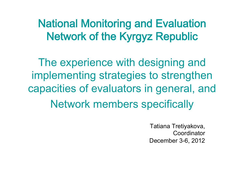National Monitoring and Evaluation Network of the Kyrgyz Republic

The experience with designing and implementing strategies to strengthen capacities of evaluators in general, and Network members specifically

> Tatiana Tretiyakova, Coordinator December 3-6, 2012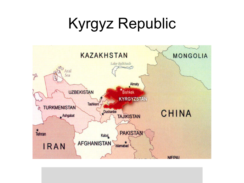# Kyrgyz Republic

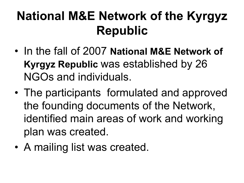### **National M&E Network of the Kyrgyz Republic**

- In the fall of 2007 **National M&E Network of Kyrgyz Republic** was established by 26 NGOs and individuals.
- The participants formulated and approved the founding documents of the Network, identified main areas of work and working plan was created.
- A mailing list was created.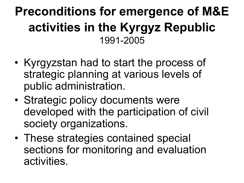#### **Preconditions for emergence of M&E activities in the Kyrgyz Republic** 1991-2005

- Kyrgyzstan had to start the process of strategic planning at various levels of public administration.
- Strategic policy documents were developed with the participation of civil society organizations.
- These strategies contained special sections for monitoring and evaluation activities.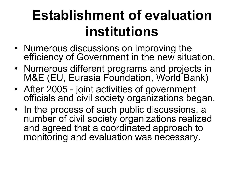# **Establishment of evaluation institutions**

- Numerous discussions on improving the efficiency of Government in the new situation.
- Numerous different programs and projects in M&E (EU, Eurasia Foundation, World Bank)
- After 2005 joint activities of government officials and civil society organizations began.
- In the process of such public discussions, a number of civil society organizations realized and agreed that a coordinated approach to monitoring and evaluation was necessary.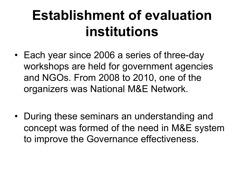# **Establishment of evaluation institutions**

- Each year since 2006 a series of three-day workshops are held for government agencies and NGOs. From 2008 to 2010, one of the organizers was National M&E Network.
- During these seminars an understanding and concept was formed of the need in M&E system to improve the Governance effectiveness.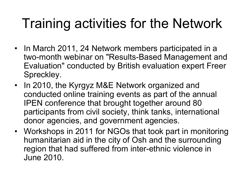# Training activities for the Network

- In March 2011, 24 Network members participated in a two-month webinar on "Results-Based Management and Evaluation" conducted by British evaluation expert Freer Spreckley.
- In 2010, the Kyrgyz M&E Network organized and conducted online training events as part of the annual IPEN conference that brought together around 80 participants from civil society, think tanks, international donor agencies, and government agencies.
- Workshops in 2011 for NGOs that took part in monitoring humanitarian aid in the city of Osh and the surrounding region that had suffered from inter-ethnic violence in June 2010.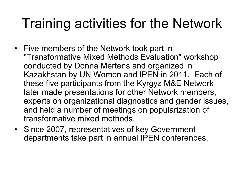### Training activities for the Network

- Five members of the Network took part in "Transformative Mixed Methods Evaluation" workshop conducted by Donna Mertens and organized in Kazakhstan by UN Women and IPEN in 2011. Each of these five participants from the Kyrgyz M&E Network later made presentations for other Network members, experts on organizational diagnostics and gender issues, and held a number of meetings on popularization of transformative mixed methods.
- Since 2007, representatives of key Government departments take part in annual IPEN conferences.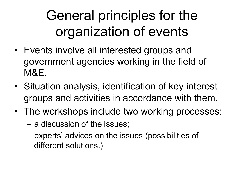# General principles for the organization of events

- Events involve all interested groups and government agencies working in the field of M&E.
- Situation analysis, identification of key interest groups and activities in accordance with them.
- The workshops include two working processes:
	- a discussion of the issues;
	- experts' advices on the issues (possibilities of different solutions.)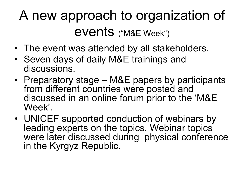# A new approach to organization of events ("M&E Week")

- The event was attended by all stakeholders.
- Seven days of daily M&E trainings and discussions.
- Preparatory stage M&E papers by participants from different countries were posted and discussed in an online forum prior to the 'M&E Week'.
- UNICEF supported conduction of webinars by leading experts on the topics. Webinar topics were later discussed during physical conference in the Kyrgyz Republic.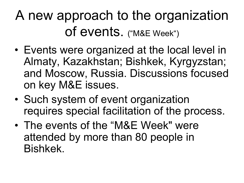# A new approach to the organization of events. ("M&E Week")

- Events were organized at the local level in Almaty, Kazakhstan; Bishkek, Kyrgyzstan; and Moscow, Russia. Discussions focused on key M&E issues.
- Such system of event organization requires special facilitation of the process.
- The events of the "M&E Week" were attended by more than 80 people in Bishkek.